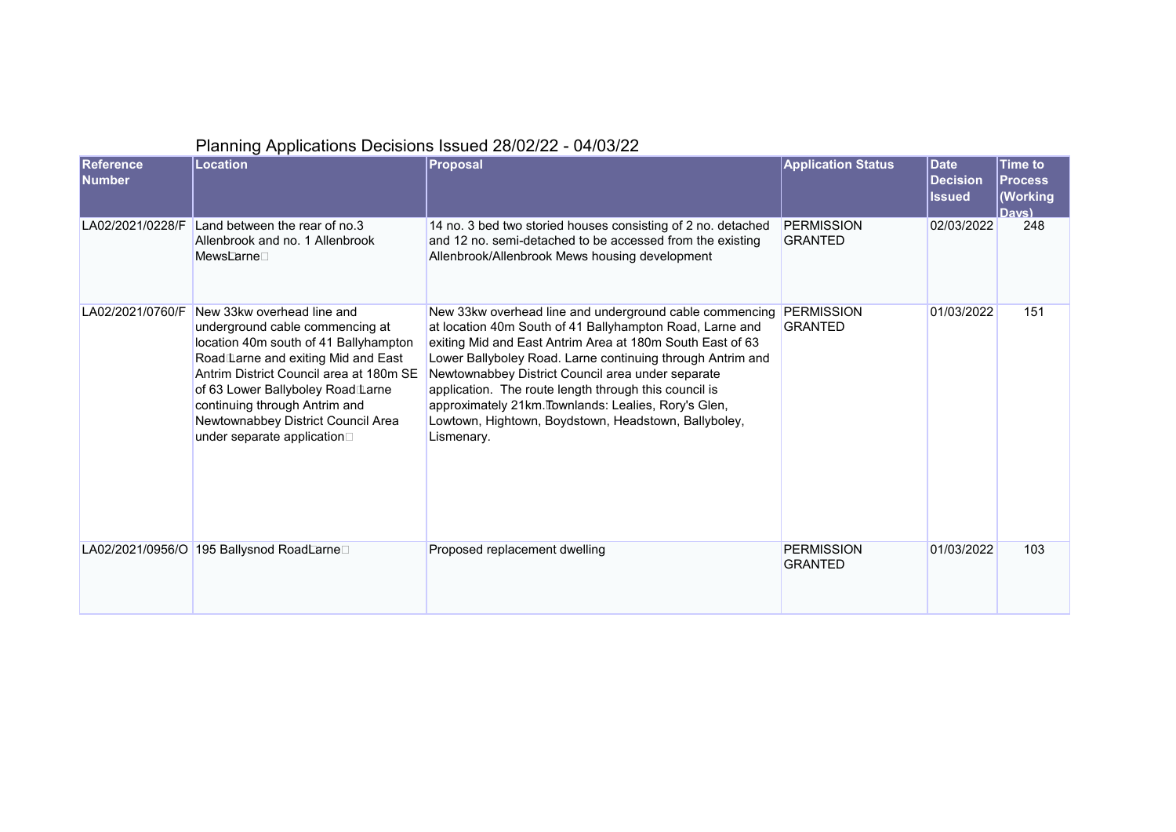|                                   | $\frac{1}{2}$ and $\frac{1}{2}$ and $\frac{1}{2}$ and $\frac{1}{2}$ and $\frac{1}{2}$ and $\frac{1}{2}$ and $\frac{1}{2}$ and $\frac{1}{2}$ and $\frac{1}{2}$ and $\frac{1}{2}$ and $\frac{1}{2}$ and $\frac{1}{2}$ and $\frac{1}{2}$ and $\frac{1}{2}$ and $\frac{1}{2}$ and $\frac{1}{2}$ a                                      |                                                                                                                                                                                                                                                                                                                                                                                                                                                                                            |                                     |                                                 |                                                                               |
|-----------------------------------|------------------------------------------------------------------------------------------------------------------------------------------------------------------------------------------------------------------------------------------------------------------------------------------------------------------------------------|--------------------------------------------------------------------------------------------------------------------------------------------------------------------------------------------------------------------------------------------------------------------------------------------------------------------------------------------------------------------------------------------------------------------------------------------------------------------------------------------|-------------------------------------|-------------------------------------------------|-------------------------------------------------------------------------------|
| <b>Reference</b><br><b>Number</b> | <b>Location</b>                                                                                                                                                                                                                                                                                                                    | Proposal                                                                                                                                                                                                                                                                                                                                                                                                                                                                                   | <b>Application Status</b>           | <b>Date</b><br><b>Decision</b><br><b>Issued</b> | <b>Time to</b><br><b>Process</b><br>(Working<br>$\mathsf{D}$ avs $\mathsf{D}$ |
| LA02/2021/0228/F                  | Land between the rear of no.3<br>Allenbrook and no. 1 Allenbrook<br>Mews⊡arne□                                                                                                                                                                                                                                                     | 14 no. 3 bed two storied houses consisting of 2 no. detached<br>and 12 no. semi-detached to be accessed from the existing<br>Allenbrook/Allenbrook Mews housing development                                                                                                                                                                                                                                                                                                                | <b>PERMISSION</b><br><b>GRANTED</b> | 02/03/2022                                      | 248                                                                           |
| LA02/2021/0760/F                  | New 33kw overhead line and<br>underground cable commencing at<br>location 40m south of 41 Ballyhampton<br>Road Larne and exiting Mid and East<br>Antrim District Council area at 180m SE<br>of 63 Lower Ballyboley Road Larne<br>continuing through Antrim and<br>Newtownabbey District Council Area<br>under separate application | New 33kw overhead line and underground cable commencing<br>at location 40m South of 41 Ballyhampton Road, Larne and<br>exiting Mid and East Antrim Area at 180m South East of 63<br>Lower Ballyboley Road. Larne continuing through Antrim and<br>Newtownabbey District Council area under separate<br>application. The route length through this council is<br>approximately 21km. Townlands: Lealies, Rory's Glen,<br>Lowtown, Hightown, Boydstown, Headstown, Ballyboley,<br>Lismenary. | <b>PERMISSION</b><br><b>GRANTED</b> | 01/03/2022                                      | 151                                                                           |
|                                   | LA02/2021/0956/O 195 Ballysnod RoadLarne□                                                                                                                                                                                                                                                                                          | Proposed replacement dwelling                                                                                                                                                                                                                                                                                                                                                                                                                                                              | <b>PERMISSION</b><br><b>GRANTED</b> | 01/03/2022                                      | 103                                                                           |

## Planning Applications Decisions Issued 28/02/22 - 04/03/22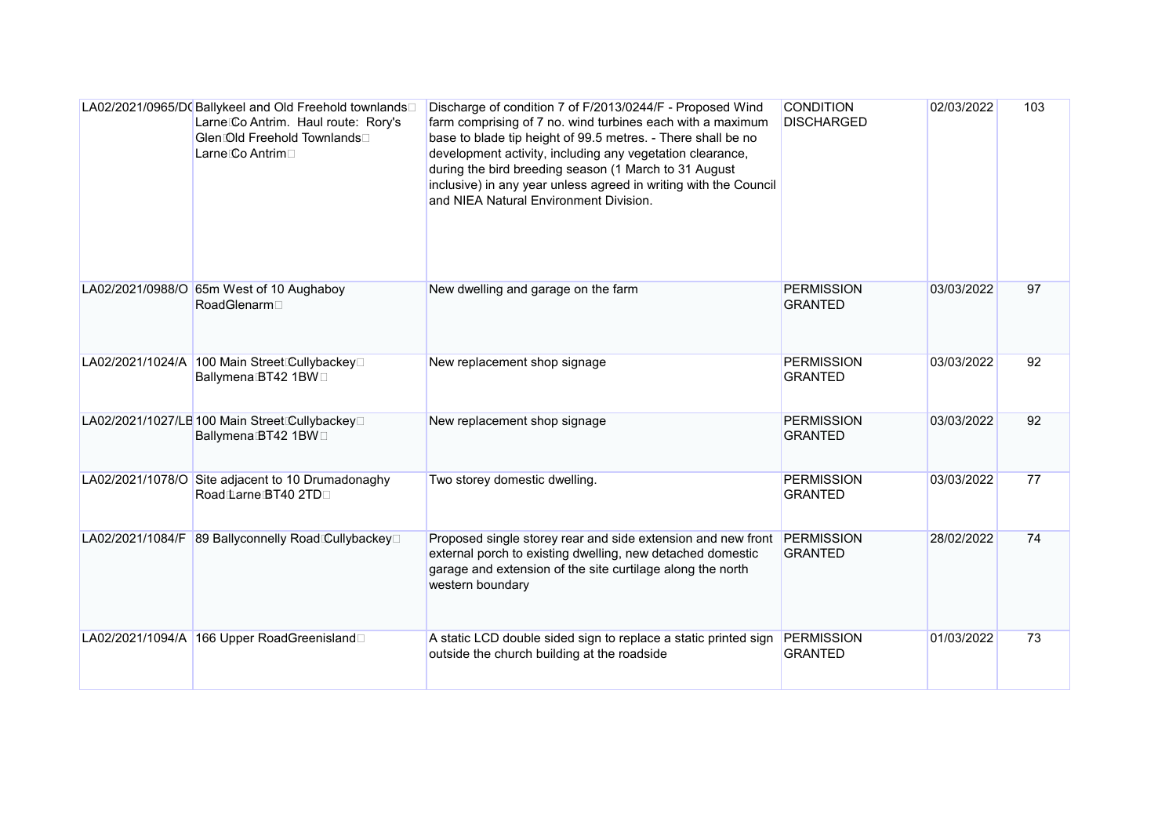| LA02/2021/0965/D(Ballykeel and Old Freehold townlands□<br>Larne Co Antrim. Haul route: Rory's<br>Glen Old Freehold Townlands□<br>Larne Co Antrim□ | Discharge of condition 7 of F/2013/0244/F - Proposed Wind<br>farm comprising of 7 no. wind turbines each with a maximum<br>base to blade tip height of 99.5 metres. - There shall be no<br>development activity, including any vegetation clearance,<br>during the bird breeding season (1 March to 31 August<br>inclusive) in any year unless agreed in writing with the Council<br>and NIEA Natural Environment Division. | <b>CONDITION</b><br><b>DISCHARGED</b> | 02/03/2022 | 103 |
|---------------------------------------------------------------------------------------------------------------------------------------------------|-----------------------------------------------------------------------------------------------------------------------------------------------------------------------------------------------------------------------------------------------------------------------------------------------------------------------------------------------------------------------------------------------------------------------------|---------------------------------------|------------|-----|
| LA02/2021/0988/O 65m West of 10 Aughaboy<br>RoadGlenarm                                                                                           | New dwelling and garage on the farm                                                                                                                                                                                                                                                                                                                                                                                         | <b>PERMISSION</b><br><b>GRANTED</b>   | 03/03/2022 | 97  |
| LA02/2021/1024/A 100 Main Street Cullybackey□<br>Ballymena BT42 1BW                                                                               | New replacement shop signage                                                                                                                                                                                                                                                                                                                                                                                                | <b>PERMISSION</b><br><b>GRANTED</b>   | 03/03/2022 | 92  |
| LA02/2021/1027/LB 100 Main Street Cullybackey□<br>Ballymena BT42 1BW                                                                              | New replacement shop signage                                                                                                                                                                                                                                                                                                                                                                                                | <b>PERMISSION</b><br><b>GRANTED</b>   | 03/03/2022 | 92  |
| LA02/2021/1078/O Site adjacent to 10 Drumadonaghy<br>Road Larne BT40 2TD                                                                          | Two storey domestic dwelling.                                                                                                                                                                                                                                                                                                                                                                                               | <b>PERMISSION</b><br><b>GRANTED</b>   | 03/03/2022 | 77  |
| LA02/2021/1084/F 89 Ballyconnelly Road Cullybackey□                                                                                               | Proposed single storey rear and side extension and new front PERMISSION<br>external porch to existing dwelling, new detached domestic<br>garage and extension of the site curtilage along the north<br>western boundary                                                                                                                                                                                                     | <b>GRANTED</b>                        | 28/02/2022 | 74  |
| LA02/2021/1094/A 166 Upper RoadGreenisland                                                                                                        | A static LCD double sided sign to replace a static printed sign<br>outside the church building at the roadside                                                                                                                                                                                                                                                                                                              | <b>PERMISSION</b><br><b>GRANTED</b>   | 01/03/2022 | 73  |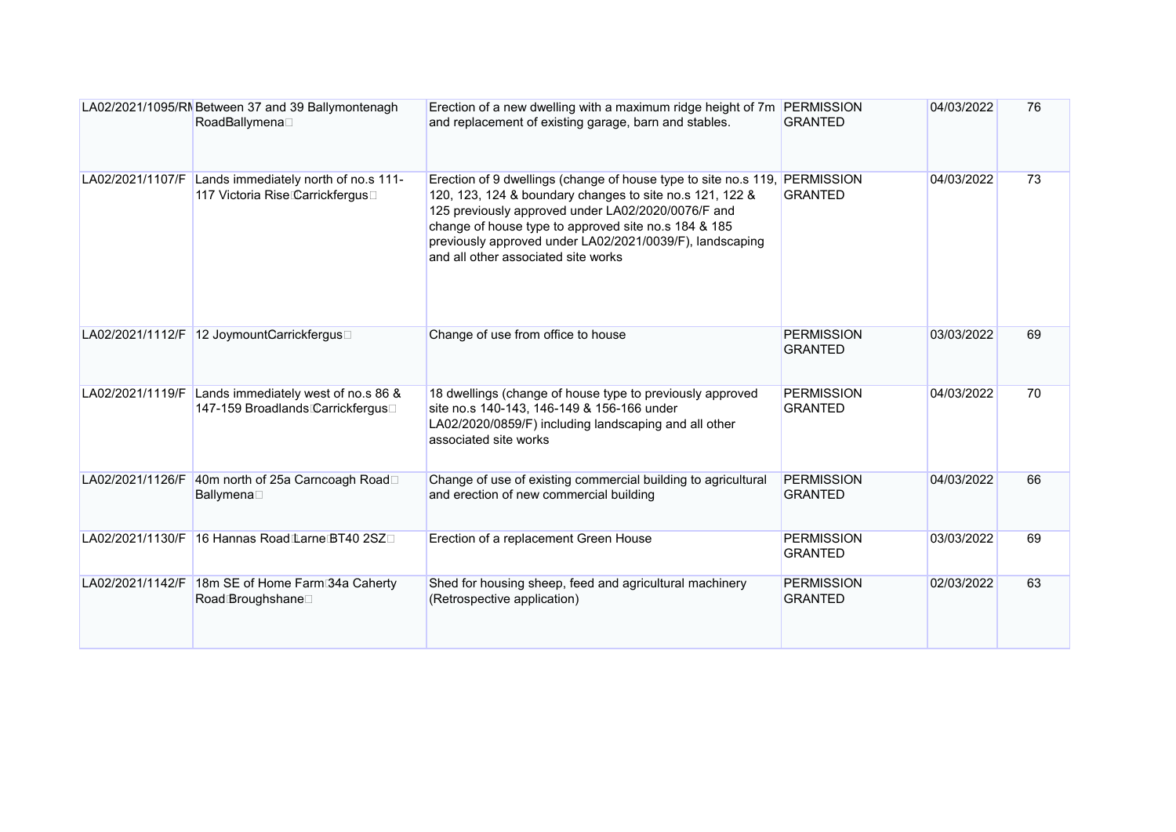|                  | LA02/2021/1095/RN Between 37 and 39 Ballymontenagh<br>RoadBallymena□                     | Erection of a new dwelling with a maximum ridge height of 7m PERMISSION<br>and replacement of existing garage, barn and stables.                                                                                                                                                                                                                        | <b>GRANTED</b>                      | 04/03/2022 | 76 |
|------------------|------------------------------------------------------------------------------------------|---------------------------------------------------------------------------------------------------------------------------------------------------------------------------------------------------------------------------------------------------------------------------------------------------------------------------------------------------------|-------------------------------------|------------|----|
|                  | LA02/2021/1107/F Lands immediately north of no.s 111-<br>117 Victoria RiseCarrickfergus□ | Erection of 9 dwellings (change of house type to site no.s 119, PERMISSION<br>120, 123, 124 & boundary changes to site no.s 121, 122 &<br>125 previously approved under LA02/2020/0076/F and<br>change of house type to approved site no.s 184 & 185<br>previously approved under LA02/2021/0039/F), landscaping<br>and all other associated site works | <b>GRANTED</b>                      | 04/03/2022 | 73 |
|                  | LA02/2021/1112/F 12 JoymountCarrickfergus□                                               | Change of use from office to house                                                                                                                                                                                                                                                                                                                      | <b>PERMISSION</b><br><b>GRANTED</b> | 03/03/2022 | 69 |
| LA02/2021/1119/F | Lands immediately west of no.s 86 &<br>147-159 Broadlands Carrickfergus□                 | 18 dwellings (change of house type to previously approved<br>site no.s 140-143, 146-149 & 156-166 under<br>LA02/2020/0859/F) including landscaping and all other<br>associated site works                                                                                                                                                               | <b>PERMISSION</b><br><b>GRANTED</b> | 04/03/2022 | 70 |
|                  | LA02/2021/1126/F 40m north of 25a Carncoagh Road□<br>Ballymena□                          | Change of use of existing commercial building to agricultural<br>and erection of new commercial building                                                                                                                                                                                                                                                | <b>PERMISSION</b><br><b>GRANTED</b> | 04/03/2022 | 66 |
| LA02/2021/1130/F | 16 Hannas Road Larne BT40 2SZ                                                            | Erection of a replacement Green House                                                                                                                                                                                                                                                                                                                   | <b>PERMISSION</b><br><b>GRANTED</b> | 03/03/2022 | 69 |
| LA02/2021/1142/F | 18m SE of Home Farm 34a Caherty<br>Road Broughshane <sup>[1]</sup>                       | Shed for housing sheep, feed and agricultural machinery<br>(Retrospective application)                                                                                                                                                                                                                                                                  | <b>PERMISSION</b><br><b>GRANTED</b> | 02/03/2022 | 63 |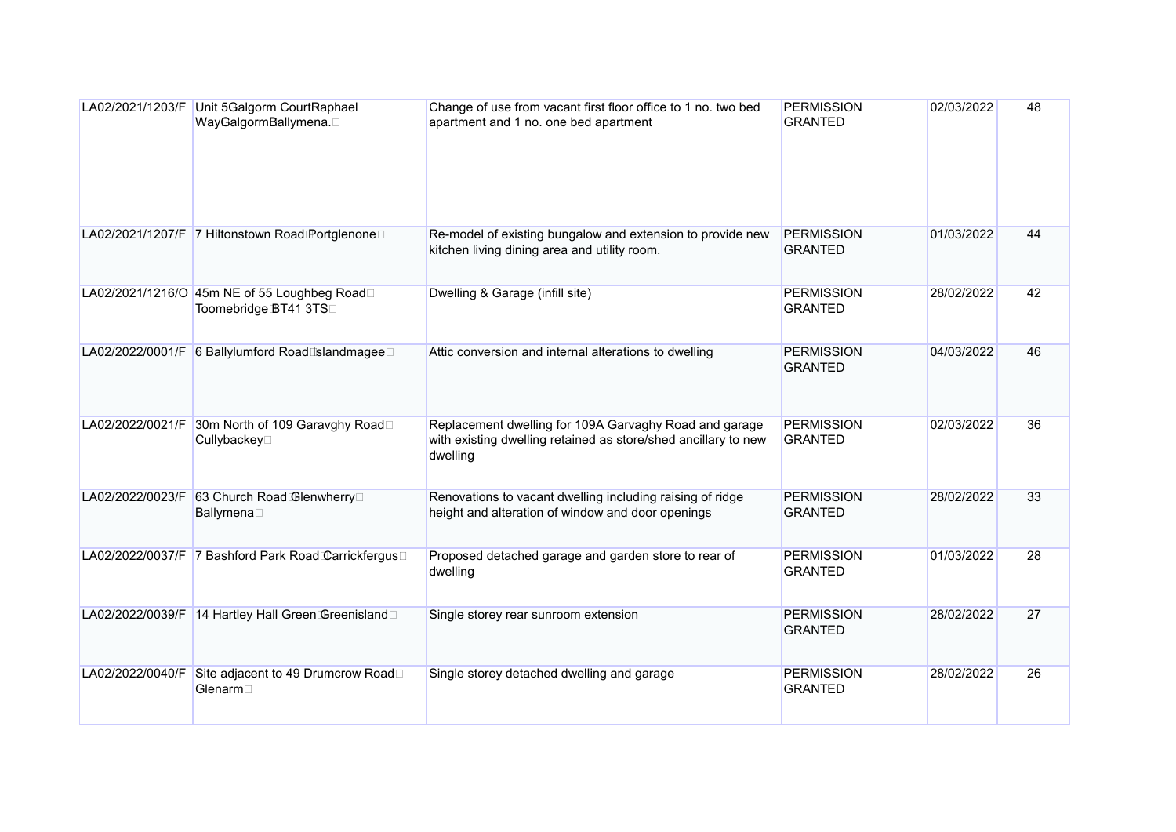|                  | LA02/2021/1203/F Unit 5Galgorm CourtRaphael<br>WayGalgormBallymena.  | Change of use from vacant first floor office to 1 no. two bed<br>apartment and 1 no. one bed apartment                               | <b>PERMISSION</b><br><b>GRANTED</b> | 02/03/2022 | 48 |
|------------------|----------------------------------------------------------------------|--------------------------------------------------------------------------------------------------------------------------------------|-------------------------------------|------------|----|
|                  | LA02/2021/1207/F 7 Hiltonstown Road Portglenone□                     | Re-model of existing bungalow and extension to provide new<br>kitchen living dining area and utility room.                           | <b>PERMISSION</b><br><b>GRANTED</b> | 01/03/2022 | 44 |
|                  | LA02/2021/1216/O 45m NE of 55 Loughbeg Road□<br>Toomebridge BT41 3TS | Dwelling & Garage (infill site)                                                                                                      | <b>PERMISSION</b><br><b>GRANTED</b> | 28/02/2022 | 42 |
|                  | LA02/2022/0001/F 6 Ballylumford Road Islandmagee□                    | Attic conversion and internal alterations to dwelling                                                                                | <b>PERMISSION</b><br><b>GRANTED</b> | 04/03/2022 | 46 |
| LA02/2022/0021/F | 30m North of 109 Garavghy Road□<br>Cullybackey□                      | Replacement dwelling for 109A Garvaghy Road and garage<br>with existing dwelling retained as store/shed ancillary to new<br>dwelling | <b>PERMISSION</b><br><b>GRANTED</b> | 02/03/2022 | 36 |
| LA02/2022/0023/F | 63 Church Road Glenwherry<br>Ballymena□                              | Renovations to vacant dwelling including raising of ridge<br>height and alteration of window and door openings                       | <b>PERMISSION</b><br><b>GRANTED</b> | 28/02/2022 | 33 |
|                  | LA02/2022/0037/F 7 Bashford Park Road Carrickfergus□                 | Proposed detached garage and garden store to rear of<br>dwelling                                                                     | <b>PERMISSION</b><br><b>GRANTED</b> | 01/03/2022 | 28 |
|                  | LA02/2022/0039/F 14 Hartley Hall Green Greenisland□                  | Single storey rear sunroom extension                                                                                                 | <b>PERMISSION</b><br><b>GRANTED</b> | 28/02/2022 | 27 |
| LA02/2022/0040/F | Site adjacent to 49 Drumcrow Road□<br>Glenarm <sup>[1]</sup>         | Single storey detached dwelling and garage                                                                                           | <b>PERMISSION</b><br><b>GRANTED</b> | 28/02/2022 | 26 |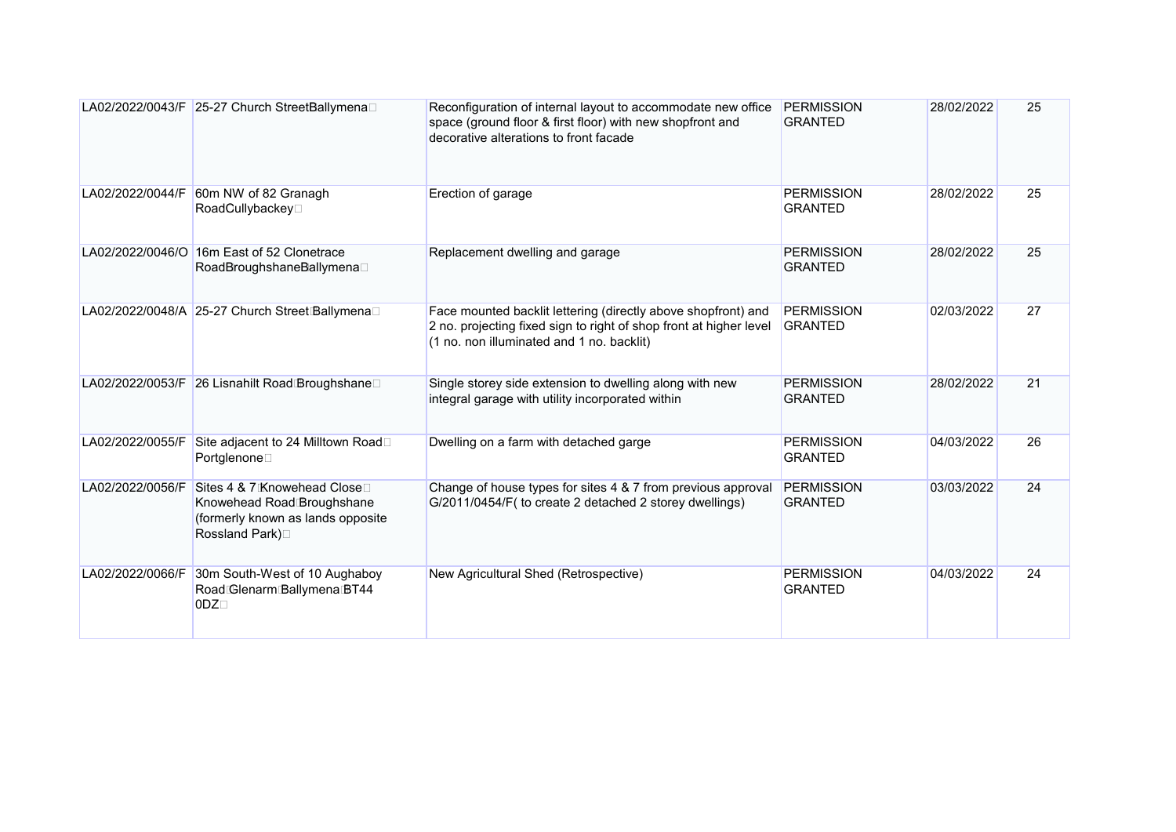|                  | LA02/2022/0043/F 25-27 Church StreetBallymena□                                                                    | Reconfiguration of internal layout to accommodate new office<br>space (ground floor & first floor) with new shopfront and<br>decorative alterations to front facade              | <b>PERMISSION</b><br><b>GRANTED</b> | 28/02/2022 | 25 |
|------------------|-------------------------------------------------------------------------------------------------------------------|----------------------------------------------------------------------------------------------------------------------------------------------------------------------------------|-------------------------------------|------------|----|
| LA02/2022/0044/F | 60m NW of 82 Granagh<br>RoadCullybackey□                                                                          | Erection of garage                                                                                                                                                               | <b>PERMISSION</b><br><b>GRANTED</b> | 28/02/2022 | 25 |
| LA02/2022/0046/O | 16m East of 52 Clonetrace<br>RoadBroughshaneBallymena□                                                            | Replacement dwelling and garage                                                                                                                                                  | <b>PERMISSION</b><br><b>GRANTED</b> | 28/02/2022 | 25 |
|                  | LA02/2022/0048/A 25-27 Church Street Ballymena                                                                    | Face mounted backlit lettering (directly above shopfront) and<br>2 no. projecting fixed sign to right of shop front at higher level<br>(1 no. non illuminated and 1 no. backlit) | <b>PERMISSION</b><br><b>GRANTED</b> | 02/03/2022 | 27 |
|                  | LA02/2022/0053/F 26 Lisnahilt Road Broughshane                                                                    | Single storey side extension to dwelling along with new<br>integral garage with utility incorporated within                                                                      | <b>PERMISSION</b><br><b>GRANTED</b> | 28/02/2022 | 21 |
| LA02/2022/0055/F | Site adjacent to 24 Milltown Road□<br>Portglenone□                                                                | Dwelling on a farm with detached garge                                                                                                                                           | <b>PERMISSION</b><br><b>GRANTED</b> | 04/03/2022 | 26 |
| LA02/2022/0056/F | Sites 4 & 7 Knowehead Close□<br>Knowehead Road Broughshane<br>(formerly known as lands opposite<br>Rossland Park) | Change of house types for sites 4 & 7 from previous approval<br>G/2011/0454/F( to create 2 detached 2 storey dwellings)                                                          | <b>PERMISSION</b><br><b>GRANTED</b> | 03/03/2022 | 24 |
| LA02/2022/0066/F | 30m South-West of 10 Aughaboy<br>Road Glenarm Ballymena BT44<br>$ODZ\square$                                      | New Agricultural Shed (Retrospective)                                                                                                                                            | <b>PERMISSION</b><br><b>GRANTED</b> | 04/03/2022 | 24 |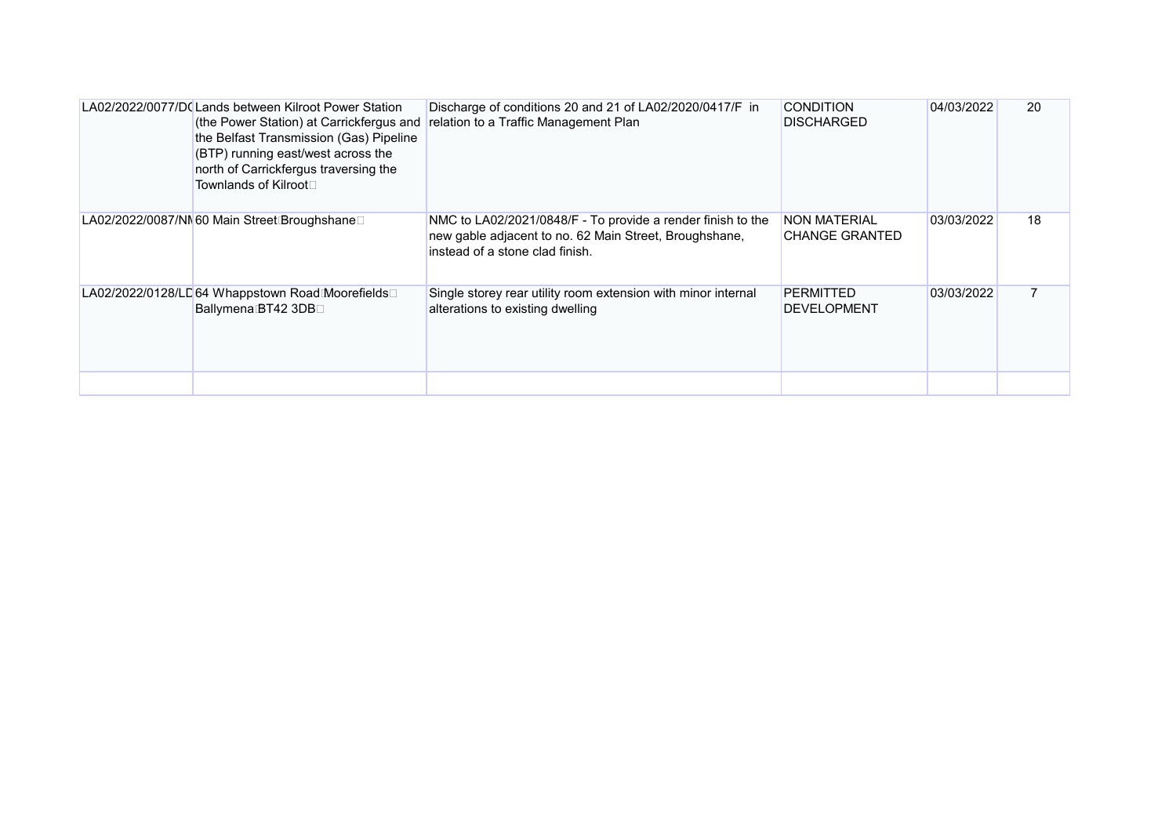| LA02/2022/0077/D(Lands between Kilroot Power Station<br>(the Power Station) at Carrickfergus and<br>the Belfast Transmission (Gas) Pipeline<br>(BTP) running east/west across the<br>north of Carrickfergus traversing the<br>Townlands of Kilroot□ | Discharge of conditions 20 and 21 of LA02/2020/0417/F in<br>relation to a Traffic Management Plan                                                        | <b>CONDITION</b><br><b>DISCHARGED</b>        | 04/03/2022 | 20 |
|-----------------------------------------------------------------------------------------------------------------------------------------------------------------------------------------------------------------------------------------------------|----------------------------------------------------------------------------------------------------------------------------------------------------------|----------------------------------------------|------------|----|
| LA02/2022/0087/NN60 Main Street Broughshane□                                                                                                                                                                                                        | NMC to LA02/2021/0848/F - To provide a render finish to the<br>new gable adjacent to no. 62 Main Street, Broughshane,<br>instead of a stone clad finish. | <b>NON MATERIAL</b><br><b>CHANGE GRANTED</b> | 03/03/2022 | 18 |
| LA02/2022/0128/LD64 Whappstown RoadMoorefields□<br><b>Ballymena BT42 3DB</b> □                                                                                                                                                                      | Single storey rear utility room extension with minor internal<br>alterations to existing dwelling                                                        | <b>PERMITTED</b><br><b>DEVELOPMENT</b>       | 03/03/2022 |    |
|                                                                                                                                                                                                                                                     |                                                                                                                                                          |                                              |            |    |